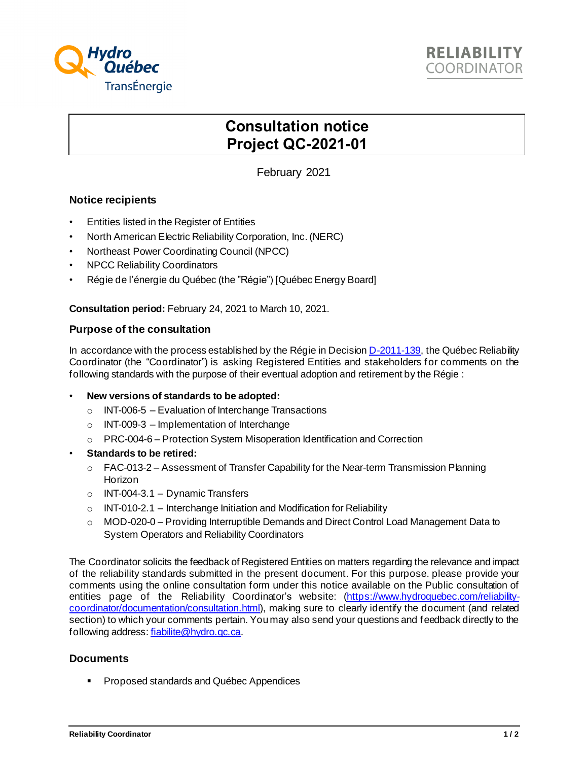

# **Consultation notice Project QC-2021-01**

February 2021

## **Notice recipients**

- Entities listed in the Register of Entities
- North American Electric Reliability Corporation, Inc. (NERC)
- Northeast Power Coordinating Council (NPCC)
- NPCC Reliability Coordinators
- Régie de l'énergie du Québec (the "Régie") [Québec Energy Board]

**Consultation period:** February 24, 2021 to March 10, 2021.

#### **Purpose of the consultation**

In accordance with the process established by the Régie in Decisio[n D-2011-139](http://www.regie-energie.qc.ca/audiences/decisions/d-2011-139.pdf), the Québec Reliability Coordinator (the "Coordinator") is asking Registered Entities and stakeholders for comments on the following standards with the purpose of their eventual adoption and retirement by the Régie :

#### • **New versions of standards to be adopted:**

- $\circ$  INT-006-5 Evaluation of Interchange Transactions
- $\circ$  INT-009-3 Implementation of Interchange
- o PRC-004-6 Protection System Misoperation Identification and Correction
- **Standards to be retired:**
	- $\circ$  FAC-013-2 Assessment of Transfer Capability for the Near-term Transmission Planning Horizon
	- o INT-004-3.1 Dynamic Transfers
	- $\circ$  INT-010-2.1 Interchange Initiation and Modification for Reliability
	- $\circ$  MOD-020-0 Providing Interruptible Demands and Direct Control Load Management Data to System Operators and Reliability Coordinators

The Coordinator solicits the feedback of Registered Entities on matters regarding the relevance and impact of the reliability standards submitted in the present document. For this purpose. please provide your comments using the online consultation form under this notice available on the Public consultation of entities page of the Reliability Coordinator's website: [\(https://www.hydroquebec.com/reliability](https://www.hydroquebec.com/reliability-coordinator/documentation/consultation.html)[coordinator/documentation/consultation.html](https://www.hydroquebec.com/reliability-coordinator/documentation/consultation.html)), making sure to clearly identify the document (and related section) to which your comments pertain. You may also send your questions and feedback directly to the following address[: fiabilite@hydro.qc.ca](mailto:fiabilite@hydro.qc.ca?subject=QC-2016-01%20-%20Méthodologie%20d).

### **Documents**

■ Proposed standards and Québec Appendices